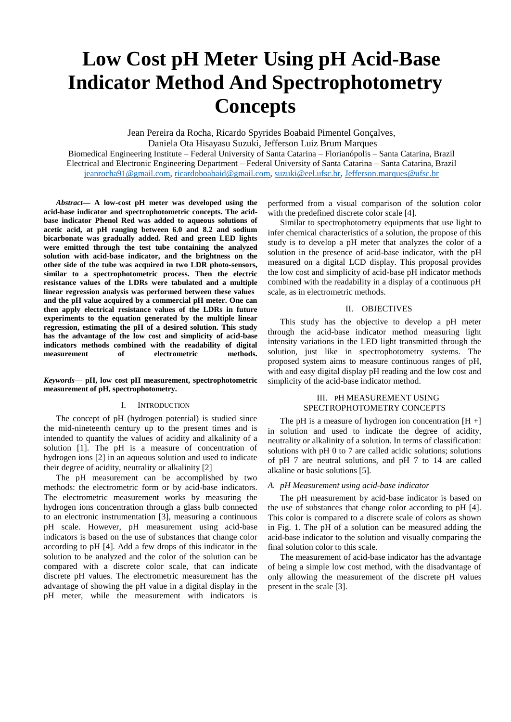# **Low Cost pH Meter Using pH Acid-Base Indicator Method And Spectrophotometry Concepts**

Jean Pereira da Rocha, Ricardo Spyrides Boabaid Pimentel Gonçalves, Daniela Ota Hisayasu Suzuki, Jefferson Luiz Brum Marques

Biomedical Engineering Institute – Federal University of Santa Catarina – Florianópolis – Santa Catarina, Brazil Electrical and Electronic Engineering Department – Federal University of Santa Catarina – Santa Catarina, Brazil [jeanrocha91@gmail.com,](mailto:jeanrocha91@gmail.com) [ricardoboabaid@gmail.com,](mailto:ricardoboabaid@gmail.com) [suzuki@eel.ufsc.br,](mailto:suzuki@eel.ufsc.br) [Jefferson.marques@ufsc.br](mailto:Jefferson.marques@ufsc.br)

*Abstract***— A low-cost pH meter was developed using the acid-base indicator and spectrophotometric concepts. The acidbase indicator Phenol Red was added to aqueous solutions of acetic acid, at pH ranging between 6.0 and 8.2 and sodium bicarbonate was gradually added. Red and green LED lights were emitted through the test tube containing the analyzed solution with acid-base indicator, and the brightness on the other side of the tube was acquired in two LDR photo-sensors, similar to a spectrophotometric process. Then the electric resistance values of the LDRs were tabulated and a multiple linear regression analysis was performed between these values and the pH value acquired by a commercial pH meter. One can then apply electrical resistance values of the LDRs in future experiments to the equation generated by the multiple linear regression, estimating the pH of a desired solution. This study has the advantage of the low cost and simplicity of acid-base indicators methods combined with the readability of digital measurement of electrometric methods.**

## *Keywords—* **pH, low cost pH measurement, spectrophotometric measurement of pH, spectrophotometry.**

## I. INTRODUCTION

The concept of pH (hydrogen potential) is studied since the mid-nineteenth century up to the present times and is intended to quantify the values of acidity and alkalinity of a solution [1]. The pH is a measure of concentration of hydrogen ions [2] in an aqueous solution and used to indicate their degree of acidity, neutrality or alkalinity [2]

The pH measurement can be accomplished by two methods: the electrometric form or by acid-base indicators. The electrometric measurement works by measuring the hydrogen ions concentration through a glass bulb connected to an electronic instrumentation [3], measuring a continuous pH scale. However, pH measurement using acid-base indicators is based on the use of substances that change color according to pH [4]. Add a few drops of this indicator in the solution to be analyzed and the color of the solution can be compared with a discrete color scale, that can indicate discrete pH values. The electrometric measurement has the advantage of showing the pH value in a digital display in the pH meter, while the measurement with indicators is performed from a visual comparison of the solution color with the predefined discrete color scale [4].

Similar to spectrophotometry equipments that use light to infer chemical characteristics of a solution, the propose of this study is to develop a pH meter that analyzes the color of a solution in the presence of acid-base indicator, with the pH measured on a digital LCD display. This proposal provides the low cost and simplicity of acid-base pH indicator methods combined with the readability in a display of a continuous pH scale, as in electrometric methods.

### II. OBJECTIVES

This study has the objective to develop a pH meter through the acid-base indicator method measuring light intensity variations in the LED light transmitted through the solution, just like in spectrophotometry systems. The proposed system aims to measure continuous ranges of pH, with and easy digital display pH reading and the low cost and simplicity of the acid-base indicator method.

# III. PH MEASUREMENT USING SPECTROPHOTOMETRY CONCEPTS

The pH is a measure of hydrogen ion concentration  $[H +]$ in solution and used to indicate the degree of acidity, neutrality or alkalinity of a solution. In terms of classification: solutions with pH 0 to 7 are called acidic solutions; solutions of pH 7 are neutral solutions, and pH 7 to 14 are called alkaline or basic solutions [5].

#### *A. pH Measurement using acid-base indicator*

The pH measurement by acid-base indicator is based on the use of substances that change color according to pH [4]. This color is compared to a discrete scale of colors as shown in Fig. 1. The pH of a solution can be measured adding the acid-base indicator to the solution and visually comparing the final solution color to this scale.

The measurement of acid-base indicator has the advantage of being a simple low cost method, with the disadvantage of only allowing the measurement of the discrete pH values present in the scale [3].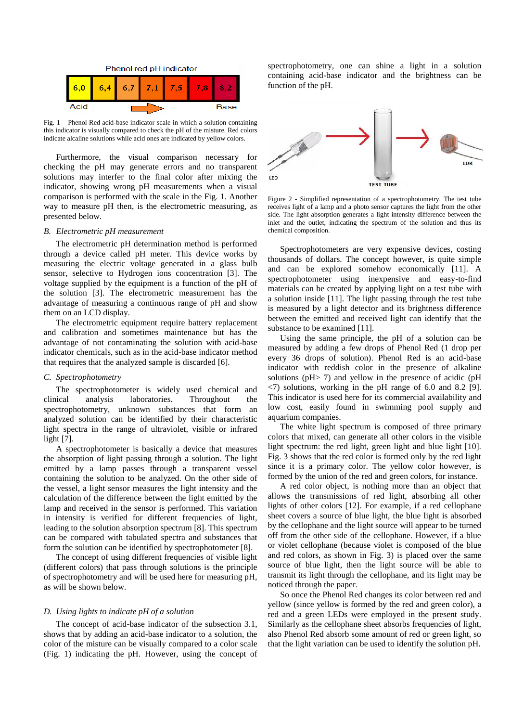

Fig. 1 – Phenol Red acid-base indicator scale in which a solution containing this indicator is visually compared to check the pH of the misture. Red colors indicate alcaline solutions while acid ones are indicated by yellow colors.

Furthermore, the visual comparison necessary for checking the pH may generate errors and no transparent solutions may interfer to the final color after mixing the indicator, showing wrong pH measurements when a visual comparison is performed with the scale in the Fig. 1. Another way to measure pH then, is the electrometric measuring, as presented below.

## *B. Electrometric pH measurement*

The electrometric pH determination method is performed through a device called pH meter. This device works by measuring the electric voltage generated in a glass bulb sensor, selective to Hydrogen ions concentration [3]. The voltage supplied by the equipment is a function of the pH of the solution [3]. The electrometric measurement has the advantage of measuring a continuous range of pH and show them on an LCD display.

The electrometric equipment require battery replacement and calibration and sometimes maintenance but has the advantage of not contaminating the solution with acid-base indicator chemicals, such as in the acid-base indicator method that requires that the analyzed sample is discarded [6].

#### *C. Spectrophotometry*

The spectrophotometer is widely used chemical and clinical analysis laboratories. Throughout the spectrophotometry, unknown substances that form an analyzed solution can be identified by their characteristic light spectra in the range of ultraviolet, visible or infrared light [7].

A spectrophotometer is basically a device that measures the absorption of light passing through a solution. The light emitted by a lamp passes through a transparent vessel containing the solution to be analyzed. On the other side of the vessel, a light sensor measures the light intensity and the calculation of the difference between the light emitted by the lamp and received in the sensor is performed. This variation in intensity is verified for different frequencies of light, leading to the solution absorption spectrum [8]. This spectrum can be compared with tabulated spectra and substances that form the solution can be identified by spectrophotometer [8].

The concept of using different frequencies of visible light (different colors) that pass through solutions is the principle of spectrophotometry and will be used here for measuring pH, as will be shown below.

# *D. Using lights to indicate pH of a solution*

The concept of acid-base indicator of the subsection 3.1, shows that by adding an acid-base indicator to a solution, the color of the misture can be visually compared to a color scale (Fig. 1) indicating the pH. However, using the concept of spectrophotometry, one can shine a light in a solution containing acid-base indicator and the brightness can be function of the pH.



Figure 2 - Simplified representation of a spectrophotometry. The test tube receives light of a lamp and a photo sensor captures the light from the other side. The light absorption generates a light intensity difference between the inlet and the outlet, indicating the spectrum of the solution and thus its chemical composition.

Spectrophotometers are very expensive devices, costing thousands of dollars. The concept however, is quite simple and can be explored somehow economically [11]. A spectrophotometer using inexpensive and easy-to-find materials can be created by applying light on a test tube with a solution inside [11]. The light passing through the test tube is measured by a light detector and its brightness difference between the emitted and received light can identify that the substance to be examined [11].

Using the same principle, the pH of a solution can be measured by adding a few drops of Phenol Red (1 drop per every 36 drops of solution). Phenol Red is an acid-base indicator with reddish color in the presence of alkaline solutions ( $pH> 7$ ) and yellow in the presence of acidic ( $pH$  $\langle 7 \rangle$  solutions, working in the pH range of 6.0 and 8.2 [9]. This indicator is used here for its commercial availability and low cost, easily found in swimming pool supply and aquarium companies.

The white light spectrum is composed of three primary colors that mixed, can generate all other colors in the visible light spectrum: the red light, green light and blue light [10]. Fig. 3 shows that the red color is formed only by the red light since it is a primary color. The yellow color however, is formed by the union of the red and green colors, for instance.

A red color object, is nothing more than an object that allows the transmissions of red light, absorbing all other lights of other colors [12]. For example, if a red cellophane sheet covers a source of blue light, the blue light is absorbed by the cellophane and the light source will appear to be turned off from the other side of the cellophane. However, if a blue or violet cellophane (because violet is composed of the blue and red colors, as shown in Fig. 3) is placed over the same source of blue light, then the light source will be able to transmit its light through the cellophane, and its light may be noticed through the paper.

So once the Phenol Red changes its color between red and yellow (since yellow is formed by the red and green color), a red and a green LEDs were employed in the present study. Similarly as the cellophane sheet absorbs frequencies of light, also Phenol Red absorb some amount of red or green light, so that the light variation can be used to identify the solution pH.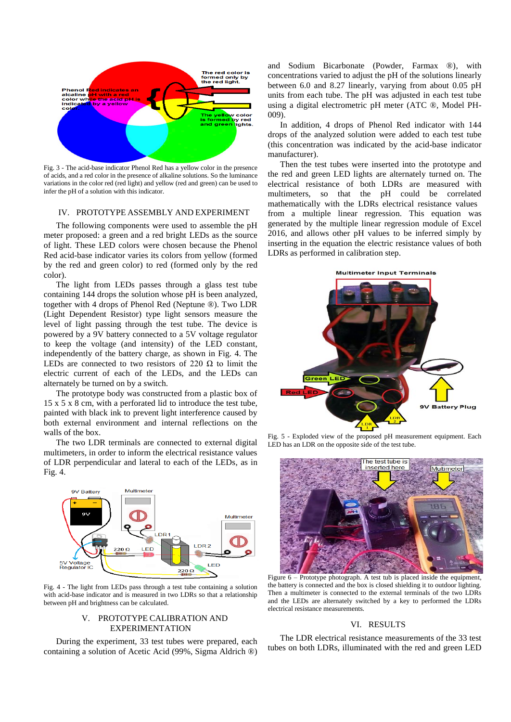

Fig. 3 - The acid-base indicator Phenol Red has a yellow color in the presence of acids, and a red color in the presence of alkaline solutions. So the luminance variations in the color red (red light) and yellow (red and green) can be used to infer the pH of a solution with this indicator.

# IV. PROTOTYPE ASSEMBLY AND EXPERIMENT

The following components were used to assemble the pH meter proposed: a green and a red bright LEDs as the source of light. These LED colors were chosen because the Phenol Red acid-base indicator varies its colors from yellow (formed by the red and green color) to red (formed only by the red color).

The light from LEDs passes through a glass test tube containing 144 drops the solution whose pH is been analyzed, together with 4 drops of Phenol Red (Neptune ®). Two LDR (Light Dependent Resistor) type light sensors measure the level of light passing through the test tube. The device is powered by a 9V battery connected to a 5V voltage regulator to keep the voltage (and intensity) of the LED constant, independently of the battery charge, as shown in Fig. 4. The LEDs are connected to two resistors of 220  $\Omega$  to limit the electric current of each of the LEDs, and the LEDs can alternately be turned on by a switch.

The prototype body was constructed from a plastic box of 15 x 5 x 8 cm, with a perforated lid to introduce the test tube, painted with black ink to prevent light interference caused by both external environment and internal reflections on the walls of the box.

The two LDR terminals are connected to external digital multimeters, in order to inform the electrical resistance values of LDR perpendicular and lateral to each of the LEDs, as in Fig. 4.



Fig. 4 - The light from LEDs pass through a test tube containing a solution with acid-base indicator and is measured in two LDRs so that a relationship between pH and brightness can be calculated.

# V. PROTOTYPE CALIBRATION AND EXPERIMENTATION

During the experiment, 33 test tubes were prepared, each containing a solution of Acetic Acid (99%, Sigma Aldrich ®) and Sodium Bicarbonate (Powder, Farmax ®), with concentrations varied to adjust the pH of the solutions linearly between 6.0 and 8.27 linearly, varying from about 0.05 pH units from each tube. The pH was adjusted in each test tube using a digital electrometric pH meter (ATC ®, Model PH-009).

In addition, 4 drops of Phenol Red indicator with 144 drops of the analyzed solution were added to each test tube (this concentration was indicated by the acid-base indicator manufacturer).

Then the test tubes were inserted into the prototype and the red and green LED lights are alternately turned on. The electrical resistance of both LDRs are measured with multimeters, so that the pH could be correlated mathematically with the LDRs electrical resistance values from a multiple linear regression. This equation was generated by the multiple linear regression module of Excel 2016, and allows other pH values to be inferred simply by inserting in the equation the electric resistance values of both LDRs as performed in calibration step.



Fig. 5 - Exploded view of the proposed pH measurement equipment. Each LED has an LDR on the opposite side of the test tube.



Figure 6 – Prototype photograph. A test tub is placed inside the equipment, the battery is connected and the box is closed shielding it to outdoor lighting. Then a multimeter is connected to the external terminals of the two LDRs and the LEDs are alternately switched by a key to performed the LDRs electrical resistance measurements.

# VI. RESULTS

The LDR electrical resistance measurements of the 33 test tubes on both LDRs, illuminated with the red and green LED